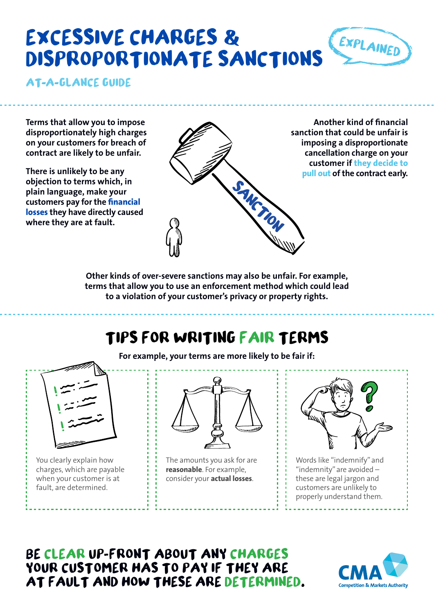## **Excessive charges**  EXPLAINED **disproportionate sanctions**

**At a glance guide**

**Terms that allow you to impose disproportionately high charges on your customers for breach of contract are likely to be unfair.** 

**There is unlikely to be any objection to terms which, in plain language, make your customers pay for the financial losses they have directly caused where they are at fault.**



**Another kind of financial sanction that could be unfair is imposing a disproportionate cancellation charge on your customer if they decide to pull out of the contract early.** 

**Other kinds of over-severe sanctions may also be unfair. For example, terms that allow you to use an enforcement method which could lead to a violation of your customer's privacy or property rights.** 

## **TIPS FOR WRITING FAIR TERMS**

**For example, your terms are more likely to be fair if:**



You clearly explain how charges, which are payable when your customer is at fault, are determined.



The amounts you ask for are **reasonable**. For example, consider your **actual losses**.



Words like "indemnify" and "indemnity" are avoided – these are legal jargon and customers are unlikely to properly understand them.

**Be clear up front about any CHARGES your customer has to pay if they are at fault and how these ARE DETERMINED**